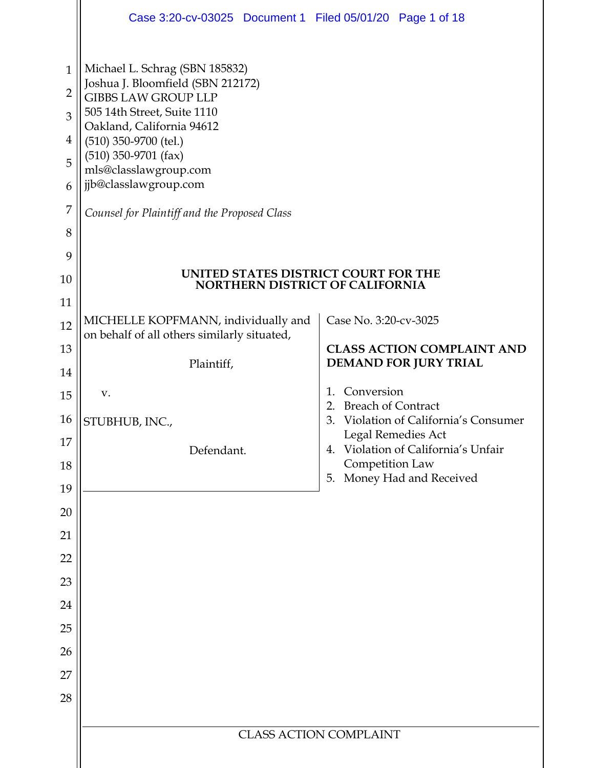|                                                                   | Case 3:20-cv-03025 Document 1 Filed 05/01/20 Page 1 of 18                                                                                                                                                                                                                                                                                                    |                                                                   |  |  |  |  |  |
|-------------------------------------------------------------------|--------------------------------------------------------------------------------------------------------------------------------------------------------------------------------------------------------------------------------------------------------------------------------------------------------------------------------------------------------------|-------------------------------------------------------------------|--|--|--|--|--|
| $\mathbf{1}$<br>$\overline{2}$<br>3<br>4<br>5<br>6<br>7<br>8<br>9 | Michael L. Schrag (SBN 185832)<br>Joshua J. Bloomfield (SBN 212172)<br><b>GIBBS LAW GROUP LLP</b><br>505 14th Street, Suite 1110<br>Oakland, California 94612<br>$(510)$ 350-9700 (tel.)<br>$(510)$ 350-9701 (fax)<br>mls@classlawgroup.com<br>jjb@classlawgroup.com<br>Counsel for Plaintiff and the Proposed Class<br>UNITED STATES DISTRICT COURT FOR THE |                                                                   |  |  |  |  |  |
| 10                                                                | <b>NORTHERN DISTRICT OF CALIFORNIA</b>                                                                                                                                                                                                                                                                                                                       |                                                                   |  |  |  |  |  |
| 11<br>12                                                          | MICHELLE KOPFMANN, individually and<br>on behalf of all others similarly situated,                                                                                                                                                                                                                                                                           | Case No. 3:20-cv-3025                                             |  |  |  |  |  |
| 13                                                                | Plaintiff,                                                                                                                                                                                                                                                                                                                                                   | <b>CLASS ACTION COMPLAINT AND</b><br><b>DEMAND FOR JURY TRIAL</b> |  |  |  |  |  |
| 14                                                                | V.                                                                                                                                                                                                                                                                                                                                                           | Conversion<br>$\mathbf{1}$ .                                      |  |  |  |  |  |
| 15                                                                |                                                                                                                                                                                                                                                                                                                                                              | <b>Breach of Contract</b><br>2.                                   |  |  |  |  |  |
| 16<br>17                                                          | STUBHUB, INC.,                                                                                                                                                                                                                                                                                                                                               | Violation of California's Consumer<br>3.<br>Legal Remedies Act    |  |  |  |  |  |
| 18                                                                | Defendant.                                                                                                                                                                                                                                                                                                                                                   | Violation of California's Unfair<br>4.<br>Competition Law         |  |  |  |  |  |
| 19                                                                |                                                                                                                                                                                                                                                                                                                                                              | Money Had and Received<br>5.                                      |  |  |  |  |  |
| 20                                                                |                                                                                                                                                                                                                                                                                                                                                              |                                                                   |  |  |  |  |  |
| 21                                                                |                                                                                                                                                                                                                                                                                                                                                              |                                                                   |  |  |  |  |  |
| 22                                                                |                                                                                                                                                                                                                                                                                                                                                              |                                                                   |  |  |  |  |  |
| 23                                                                |                                                                                                                                                                                                                                                                                                                                                              |                                                                   |  |  |  |  |  |
| 24                                                                |                                                                                                                                                                                                                                                                                                                                                              |                                                                   |  |  |  |  |  |
| 25                                                                |                                                                                                                                                                                                                                                                                                                                                              |                                                                   |  |  |  |  |  |
| 26                                                                |                                                                                                                                                                                                                                                                                                                                                              |                                                                   |  |  |  |  |  |
| 27<br>28                                                          |                                                                                                                                                                                                                                                                                                                                                              |                                                                   |  |  |  |  |  |
|                                                                   |                                                                                                                                                                                                                                                                                                                                                              |                                                                   |  |  |  |  |  |
|                                                                   | <b>CLASS ACTION COMPLAINT</b>                                                                                                                                                                                                                                                                                                                                |                                                                   |  |  |  |  |  |
|                                                                   |                                                                                                                                                                                                                                                                                                                                                              |                                                                   |  |  |  |  |  |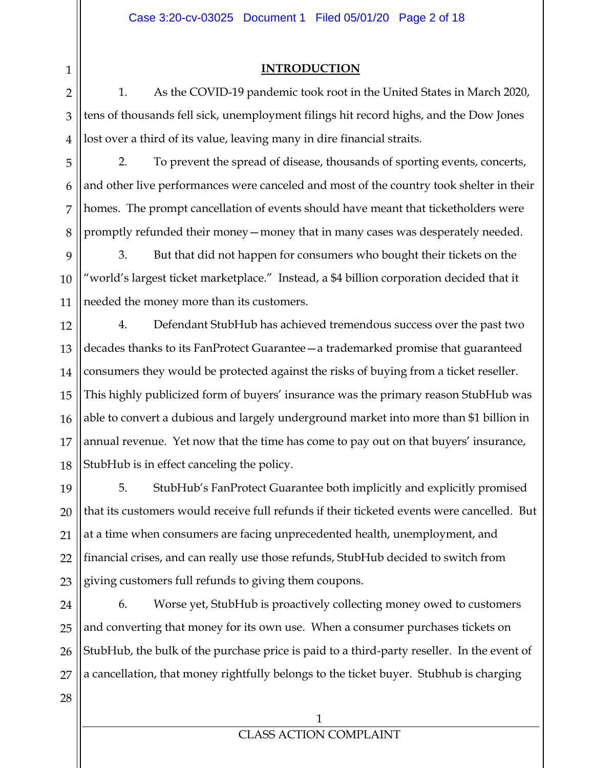#### **INTRODUCTION**

1. As the COVID-19 pandemic took root in the United States in March 2020, tens of thousands fell sick, unemployment filings hit record highs, and the Dow Jones lost over a third of its value, leaving many in dire financial straits.

5 6 7 8 2. To prevent the spread of disease, thousands of sporting events, concerts, and other live performances were canceled and most of the country took shelter in their homes. The prompt cancellation of events should have meant that ticketholders were promptly refunded their money—money that in many cases was desperately needed.

9 10 11 3. But that did not happen for consumers who bought their tickets on the "world's largest ticket marketplace." Instead, a \$4 billion corporation decided that it needed the money more than its customers.

12 13 14 15 16 17 18 4. Defendant StubHub has achieved tremendous success over the past two decades thanks to its FanProtect Guarantee—a trademarked promise that guaranteed consumers they would be protected against the risks of buying from a ticket reseller. This highly publicized form of buyers' insurance was the primary reason StubHub was able to convert a dubious and largely underground market into more than \$1 billion in annual revenue. Yet now that the time has come to pay out on that buyers' insurance, StubHub is in effect canceling the policy.

19 20 21 22 23 5. StubHub's FanProtect Guarantee both implicitly and explicitly promised that its customers would receive full refunds if their ticketed events were cancelled. But at a time when consumers are facing unprecedented health, unemployment, and financial crises, and can really use those refunds, StubHub decided to switch from giving customers full refunds to giving them coupons.

24 25 26 27 6. Worse yet, StubHub is proactively collecting money owed to customers and converting that money for its own use. When a consumer purchases tickets on StubHub, the bulk of the purchase price is paid to a third-party reseller. In the event of a cancellation, that money rightfully belongs to the ticket buyer. Stubhub is charging

28

1

2

3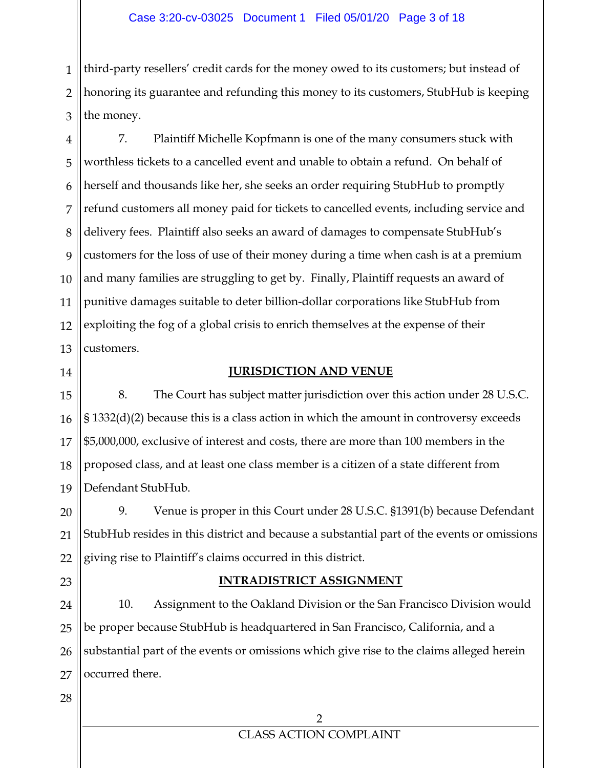1 2 3 third-party resellers' credit cards for the money owed to its customers; but instead of honoring its guarantee and refunding this money to its customers, StubHub is keeping the money.

4 5 6 7 8 9 10 11 12 13 7. Plaintiff Michelle Kopfmann is one of the many consumers stuck with worthless tickets to a cancelled event and unable to obtain a refund. On behalf of herself and thousands like her, she seeks an order requiring StubHub to promptly refund customers all money paid for tickets to cancelled events, including service and delivery fees. Plaintiff also seeks an award of damages to compensate StubHub's customers for the loss of use of their money during a time when cash is at a premium and many families are struggling to get by. Finally, Plaintiff requests an award of punitive damages suitable to deter billion-dollar corporations like StubHub from exploiting the fog of a global crisis to enrich themselves at the expense of their customers.

14

#### **JURISDICTION AND VENUE**

15 16 17 18 19 8. The Court has subject matter jurisdiction over this action under 28 U.S.C. § 1332(d)(2) because this is a class action in which the amount in controversy exceeds \$5,000,000, exclusive of interest and costs, there are more than 100 members in the proposed class, and at least one class member is a citizen of a state different from Defendant StubHub.

20 21 22 9. Venue is proper in this Court under 28 U.S.C. §1391(b) because Defendant StubHub resides in this district and because a substantial part of the events or omissions giving rise to Plaintiff's claims occurred in this district.

23

#### **INTRADISTRICT ASSIGNMENT**

24 25 26 27 10. Assignment to the Oakland Division or the San Francisco Division would be proper because StubHub is headquartered in San Francisco, California, and a substantial part of the events or omissions which give rise to the claims alleged herein occurred there.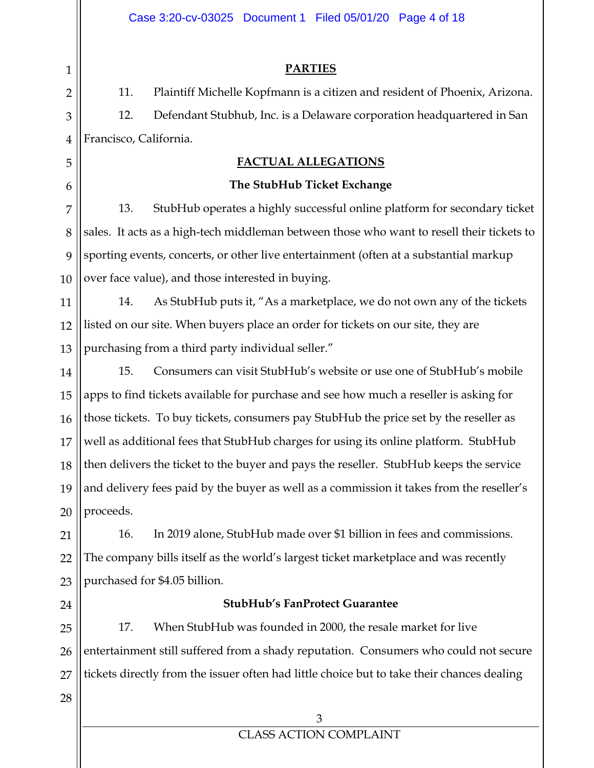|                | Case 3:20-cv-03025 Document 1 Filed 05/01/20 Page 4 of 18                                  |  |  |  |  |  |  |  |
|----------------|--------------------------------------------------------------------------------------------|--|--|--|--|--|--|--|
|                |                                                                                            |  |  |  |  |  |  |  |
| $\mathbf{1}$   | <b>PARTIES</b>                                                                             |  |  |  |  |  |  |  |
| $\overline{2}$ | 11.<br>Plaintiff Michelle Kopfmann is a citizen and resident of Phoenix, Arizona.          |  |  |  |  |  |  |  |
| 3              | 12.<br>Defendant Stubhub, Inc. is a Delaware corporation headquartered in San              |  |  |  |  |  |  |  |
| $\overline{4}$ | Francisco, California.                                                                     |  |  |  |  |  |  |  |
| 5              | <b>FACTUAL ALLEGATIONS</b>                                                                 |  |  |  |  |  |  |  |
| 6              | The StubHub Ticket Exchange                                                                |  |  |  |  |  |  |  |
| 7              | 13.<br>StubHub operates a highly successful online platform for secondary ticket           |  |  |  |  |  |  |  |
| 8              | sales. It acts as a high-tech middleman between those who want to resell their tickets to  |  |  |  |  |  |  |  |
| 9              | sporting events, concerts, or other live entertainment (often at a substantial markup      |  |  |  |  |  |  |  |
| 10             | over face value), and those interested in buying.                                          |  |  |  |  |  |  |  |
| 11             | 14.<br>As StubHub puts it, "As a marketplace, we do not own any of the tickets             |  |  |  |  |  |  |  |
| 12             | listed on our site. When buyers place an order for tickets on our site, they are           |  |  |  |  |  |  |  |
| 13             | purchasing from a third party individual seller."                                          |  |  |  |  |  |  |  |
| 14             | 15.<br>Consumers can visit StubHub's website or use one of StubHub's mobile                |  |  |  |  |  |  |  |
| 15             | apps to find tickets available for purchase and see how much a reseller is asking for      |  |  |  |  |  |  |  |
| 16             | those tickets. To buy tickets, consumers pay StubHub the price set by the reseller as      |  |  |  |  |  |  |  |
| 17             | well as additional fees that StubHub charges for using its online platform. StubHub        |  |  |  |  |  |  |  |
| 18             | then delivers the ticket to the buyer and pays the reseller. StubHub keeps the service     |  |  |  |  |  |  |  |
| 19             | and delivery fees paid by the buyer as well as a commission it takes from the reseller's   |  |  |  |  |  |  |  |
| 20             | proceeds.                                                                                  |  |  |  |  |  |  |  |
| 21             | 16.<br>In 2019 alone, StubHub made over \$1 billion in fees and commissions.               |  |  |  |  |  |  |  |
| 22             | The company bills itself as the world's largest ticket marketplace and was recently        |  |  |  |  |  |  |  |
| 23             | purchased for \$4.05 billion.                                                              |  |  |  |  |  |  |  |
| 24             | <b>StubHub's FanProtect Guarantee</b>                                                      |  |  |  |  |  |  |  |
| 25             | 17.<br>When StubHub was founded in 2000, the resale market for live                        |  |  |  |  |  |  |  |
| 26             | entertainment still suffered from a shady reputation. Consumers who could not secure       |  |  |  |  |  |  |  |
| 27             | tickets directly from the issuer often had little choice but to take their chances dealing |  |  |  |  |  |  |  |
| 28             |                                                                                            |  |  |  |  |  |  |  |
|                | 3                                                                                          |  |  |  |  |  |  |  |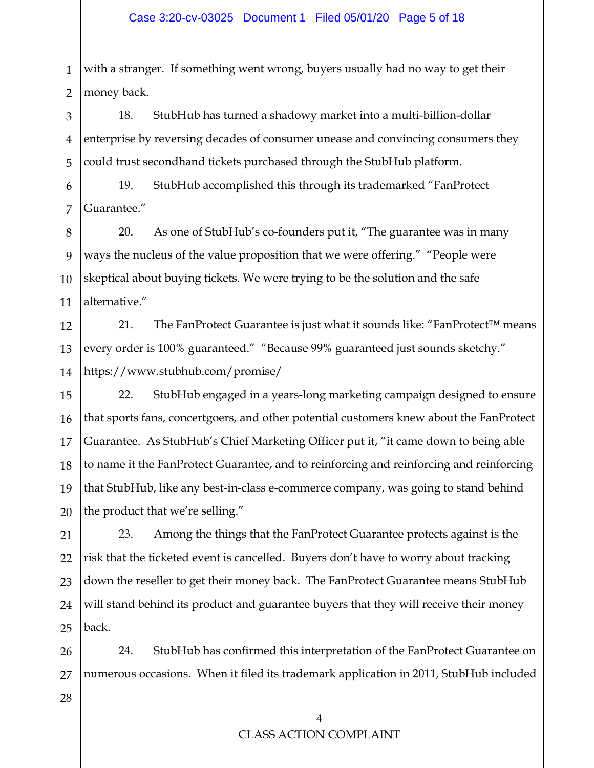1 2 with a stranger. If something went wrong, buyers usually had no way to get their money back.

3 4 5 18. StubHub has turned a shadowy market into a multi-billion-dollar enterprise by reversing decades of consumer unease and convincing consumers they could trust secondhand tickets purchased through the StubHub platform.

6 7 19. StubHub accomplished this through its trademarked "FanProtect Guarantee."

8 9 10 11 20. As one of StubHub's co-founders put it, "The guarantee was in many ways the nucleus of the value proposition that we were offering." "People were skeptical about buying tickets. We were trying to be the solution and the safe alternative."

12 13 14 21. The FanProtect Guarantee is just what it sounds like: "FanProtect™ means every order is 100% guaranteed." "Because 99% guaranteed just sounds sketchy." https://www.stubhub.com/promise/

15 16 17 18 19 20 22. StubHub engaged in a years-long marketing campaign designed to ensure that sports fans, concertgoers, and other potential customers knew about the FanProtect Guarantee. As StubHub's Chief Marketing Officer put it, "it came down to being able to name it the FanProtect Guarantee, and to reinforcing and reinforcing and reinforcing that StubHub, like any best-in-class e-commerce company, was going to stand behind the product that we're selling."

21 22 23 24 25 23. Among the things that the FanProtect Guarantee protects against is the risk that the ticketed event is cancelled. Buyers don't have to worry about tracking down the reseller to get their money back. The FanProtect Guarantee means StubHub will stand behind its product and guarantee buyers that they will receive their money back.

26 27 24. StubHub has confirmed this interpretation of the FanProtect Guarantee on numerous occasions. When it filed its trademark application in 2011, StubHub included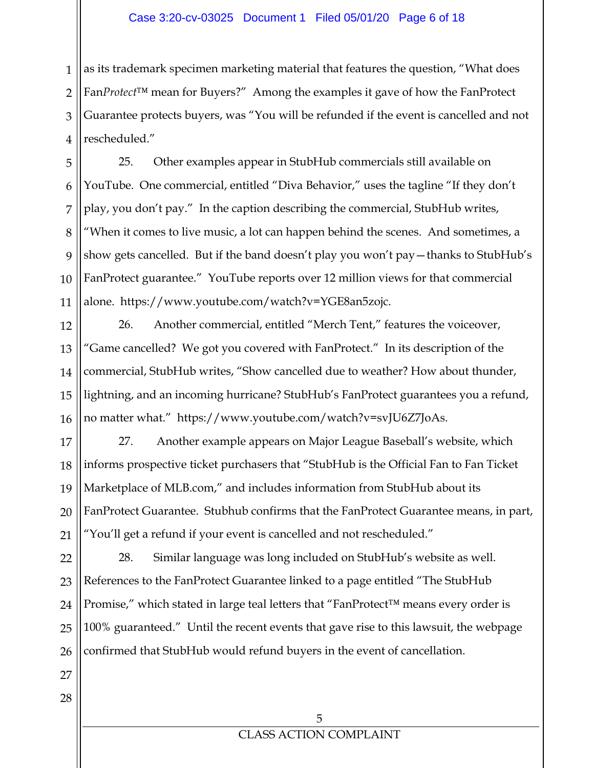1 2 3 4 as its trademark specimen marketing material that features the question, "What does Fan*Protect*™ mean for Buyers?" Among the examples it gave of how the FanProtect Guarantee protects buyers, was "You will be refunded if the event is cancelled and not rescheduled."

5 6 7 8 9 10 11 25. Other examples appear in StubHub commercials still available on YouTube. One commercial, entitled "Diva Behavior," uses the tagline "If they don't play, you don't pay." In the caption describing the commercial, StubHub writes, "When it comes to live music, a lot can happen behind the scenes. And sometimes, a show gets cancelled. But if the band doesn't play you won't pay—thanks to StubHub's FanProtect guarantee." YouTube reports over 12 million views for that commercial alone. https://www.youtube.com/watch?v=YGE8an5zojc.

12 13 14 15 16 26. Another commercial, entitled "Merch Tent," features the voiceover, "Game cancelled? We got you covered with FanProtect." In its description of the commercial, StubHub writes, "Show cancelled due to weather? How about thunder, lightning, and an incoming hurricane? StubHub's FanProtect guarantees you a refund, no matter what." https://www.youtube.com/watch?v=svJU6Z7JoAs.

17 18 19 20 21 27. Another example appears on Major League Baseball's website, which informs prospective ticket purchasers that "StubHub is the Official Fan to Fan Ticket Marketplace of MLB.com," and includes information from StubHub about its FanProtect Guarantee. Stubhub confirms that the FanProtect Guarantee means, in part, "You'll get a refund if your event is cancelled and not rescheduled."

22 23 24 25 26 28. Similar language was long included on StubHub's website as well. References to the FanProtect Guarantee linked to a page entitled "The StubHub Promise," which stated in large teal letters that "FanProtect™ means every order is 100% guaranteed." Until the recent events that gave rise to this lawsuit, the webpage confirmed that StubHub would refund buyers in the event of cancellation.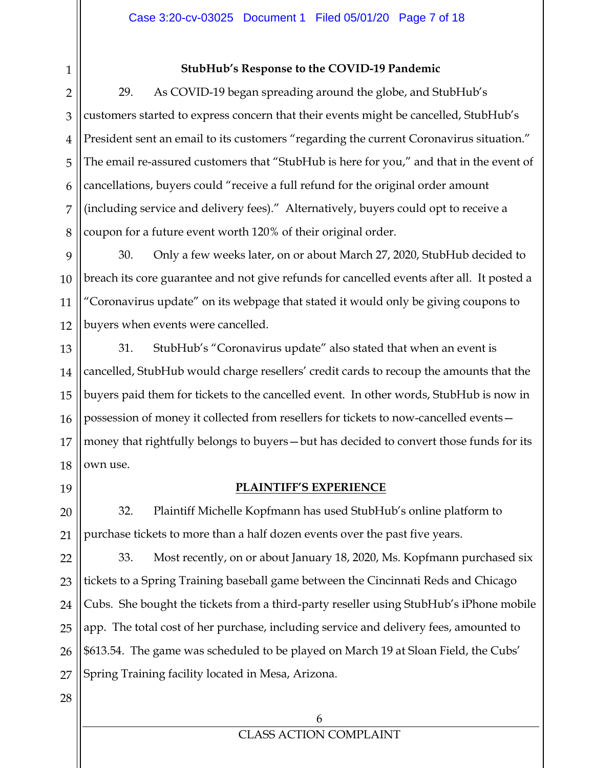1 2

#### **StubHub's Response to the COVID-19 Pandemic**

3 4 5 6 7 8 29. As COVID-19 began spreading around the globe, and StubHub's customers started to express concern that their events might be cancelled, StubHub's President sent an email to its customers "regarding the current Coronavirus situation." The email re-assured customers that "StubHub is here for you," and that in the event of cancellations, buyers could "receive a full refund for the original order amount (including service and delivery fees)." Alternatively, buyers could opt to receive a coupon for a future event worth 120% of their original order.

9 10 11 12 30. Only a few weeks later, on or about March 27, 2020, StubHub decided to breach its core guarantee and not give refunds for cancelled events after all. It posted a "Coronavirus update" on its webpage that stated it would only be giving coupons to buyers when events were cancelled.

13 14 15 16 17 18 31. StubHub's "Coronavirus update" also stated that when an event is cancelled, StubHub would charge resellers' credit cards to recoup the amounts that the buyers paid them for tickets to the cancelled event. In other words, StubHub is now in possession of money it collected from resellers for tickets to now-cancelled events money that rightfully belongs to buyers—but has decided to convert those funds for its own use.

19

20

21

#### **PLAINTIFF'S EXPERIENCE**

32. Plaintiff Michelle Kopfmann has used StubHub's online platform to purchase tickets to more than a half dozen events over the past five years.

22 23 24 25 26 27 33. Most recently, on or about January 18, 2020, Ms. Kopfmann purchased six tickets to a Spring Training baseball game between the Cincinnati Reds and Chicago Cubs. She bought the tickets from a third-party reseller using StubHub's iPhone mobile app. The total cost of her purchase, including service and delivery fees, amounted to \$613.54. The game was scheduled to be played on March 19 at Sloan Field, the Cubs' Spring Training facility located in Mesa, Arizona.

28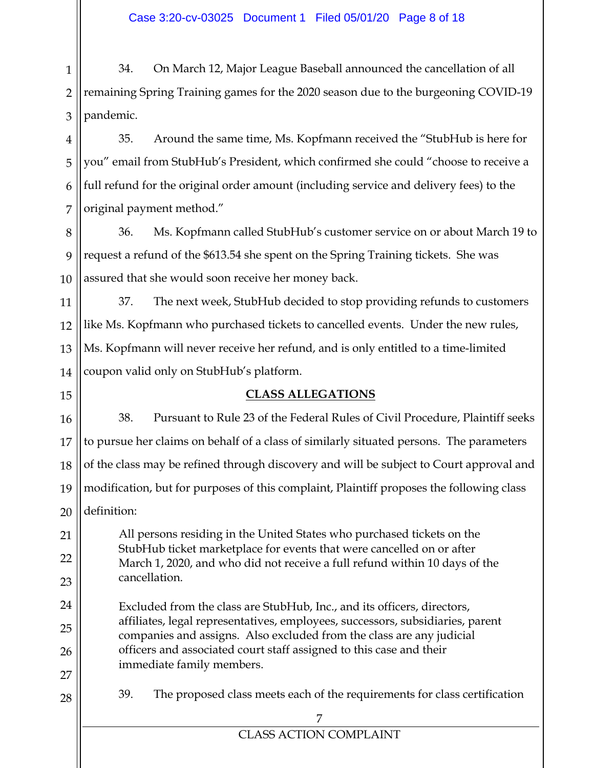1 2 3 34. On March 12, Major League Baseball announced the cancellation of all remaining Spring Training games for the 2020 season due to the burgeoning COVID-19 pandemic.

4 5 6 7 35. Around the same time, Ms. Kopfmann received the "StubHub is here for you" email from StubHub's President, which confirmed she could "choose to receive a full refund for the original order amount (including service and delivery fees) to the original payment method."

8 9 10 36. Ms. Kopfmann called StubHub's customer service on or about March 19 to request a refund of the \$613.54 she spent on the Spring Training tickets. She was assured that she would soon receive her money back.

11 12 13 14 37. The next week, StubHub decided to stop providing refunds to customers like Ms. Kopfmann who purchased tickets to cancelled events. Under the new rules, Ms. Kopfmann will never receive her refund, and is only entitled to a time-limited coupon valid only on StubHub's platform.

15

21

22

23

24

25

26

27

28

## **CLASS ALLEGATIONS**

16 17 18 19 20 38. Pursuant to Rule 23 of the Federal Rules of Civil Procedure, Plaintiff seeks to pursue her claims on behalf of a class of similarly situated persons. The parameters of the class may be refined through discovery and will be subject to Court approval and modification, but for purposes of this complaint, Plaintiff proposes the following class definition:

All persons residing in the United States who purchased tickets on the StubHub ticket marketplace for events that were cancelled on or after March 1, 2020, and who did not receive a full refund within 10 days of the cancellation.

Excluded from the class are StubHub, Inc., and its officers, directors, affiliates, legal representatives, employees, successors, subsidiaries, parent companies and assigns. Also excluded from the class are any judicial officers and associated court staff assigned to this case and their immediate family members.

39. The proposed class meets each of the requirements for class certification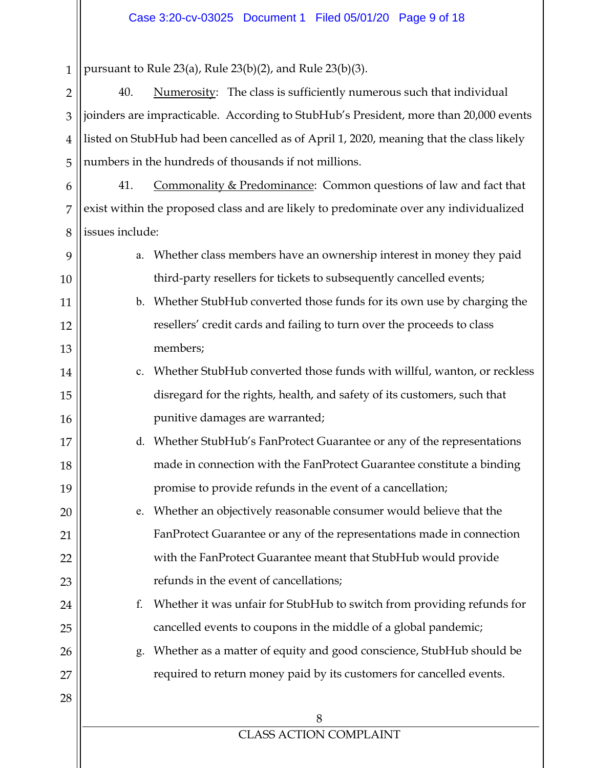1 2 3 4 5 6 7 8 9 10 11 12 13 14 15 16 17 18 19 20 21 22 23 24 25 26 27 28 8 CLASS ACTION COMPLAINT pursuant to Rule 23(a), Rule 23(b)(2), and Rule 23(b)(3). 40. Numerosity: The class is sufficiently numerous such that individual joinders are impracticable. According to StubHub's President, more than 20,000 events listed on StubHub had been cancelled as of April 1, 2020, meaning that the class likely numbers in the hundreds of thousands if not millions. 41. Commonality & Predominance: Common questions of law and fact that exist within the proposed class and are likely to predominate over any individualized issues include: a. Whether class members have an ownership interest in money they paid third-party resellers for tickets to subsequently cancelled events; b. Whether StubHub converted those funds for its own use by charging the resellers' credit cards and failing to turn over the proceeds to class members; c. Whether StubHub converted those funds with willful, wanton, or reckless disregard for the rights, health, and safety of its customers, such that punitive damages are warranted; d. Whether StubHub's FanProtect Guarantee or any of the representations made in connection with the FanProtect Guarantee constitute a binding promise to provide refunds in the event of a cancellation; e. Whether an objectively reasonable consumer would believe that the FanProtect Guarantee or any of the representations made in connection with the FanProtect Guarantee meant that StubHub would provide refunds in the event of cancellations; f. Whether it was unfair for StubHub to switch from providing refunds for cancelled events to coupons in the middle of a global pandemic; g. Whether as a matter of equity and good conscience, StubHub should be required to return money paid by its customers for cancelled events.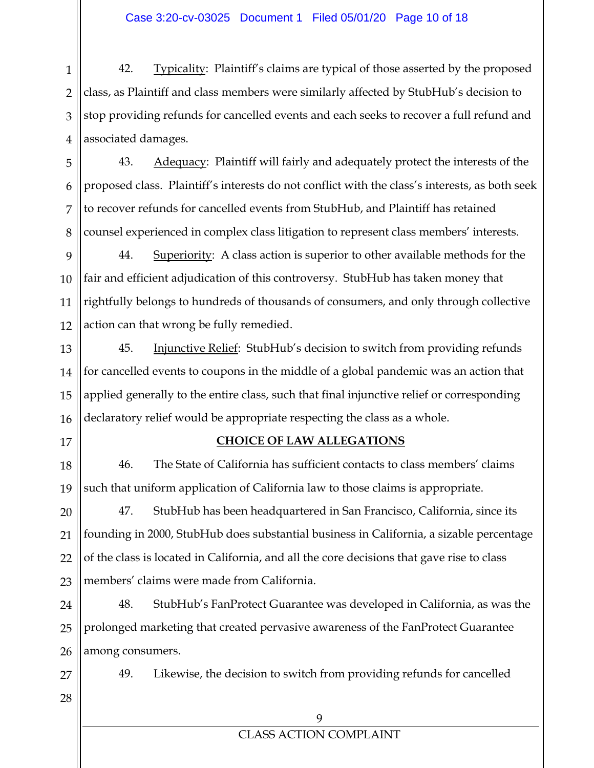1 2 3 4 42. Typicality: Plaintiff's claims are typical of those asserted by the proposed class, as Plaintiff and class members were similarly affected by StubHub's decision to stop providing refunds for cancelled events and each seeks to recover a full refund and associated damages.

5 6 7 8 43. Adequacy: Plaintiff will fairly and adequately protect the interests of the proposed class. Plaintiff's interests do not conflict with the class's interests, as both seek to recover refunds for cancelled events from StubHub, and Plaintiff has retained counsel experienced in complex class litigation to represent class members' interests.

9 10 11 12 44. Superiority: A class action is superior to other available methods for the fair and efficient adjudication of this controversy. StubHub has taken money that rightfully belongs to hundreds of thousands of consumers, and only through collective action can that wrong be fully remedied.

13 14 15 16 45. **Injunctive Relief:** StubHub's decision to switch from providing refunds for cancelled events to coupons in the middle of a global pandemic was an action that applied generally to the entire class, such that final injunctive relief or corresponding declaratory relief would be appropriate respecting the class as a whole.

17

#### **CHOICE OF LAW ALLEGATIONS**

18 19 46. The State of California has sufficient contacts to class members' claims such that uniform application of California law to those claims is appropriate.

20 21 22 23 47. StubHub has been headquartered in San Francisco, California, since its founding in 2000, StubHub does substantial business in California, a sizable percentage of the class is located in California, and all the core decisions that gave rise to class members' claims were made from California.

24 25 26 48. StubHub's FanProtect Guarantee was developed in California, as was the prolonged marketing that created pervasive awareness of the FanProtect Guarantee among consumers.

49. Likewise, the decision to switch from providing refunds for cancelled

28

27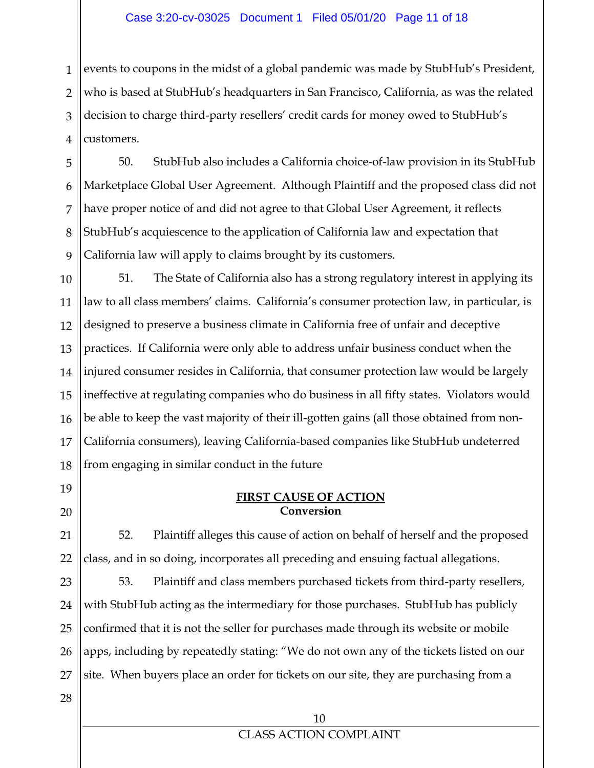#### Case 3:20-cv-03025 Document 1 Filed 05/01/20 Page 11 of 18

1 2 3 4 events to coupons in the midst of a global pandemic was made by StubHub's President, who is based at StubHub's headquarters in San Francisco, California, as was the related decision to charge third-party resellers' credit cards for money owed to StubHub's customers.

5 6 7 8 9 50. StubHub also includes a California choice-of-law provision in its StubHub Marketplace Global User Agreement. Although Plaintiff and the proposed class did not have proper notice of and did not agree to that Global User Agreement, it reflects StubHub's acquiescence to the application of California law and expectation that California law will apply to claims brought by its customers.

10 11 12 13 14 15 16 17 18 51. The State of California also has a strong regulatory interest in applying its law to all class members' claims. California's consumer protection law, in particular, is designed to preserve a business climate in California free of unfair and deceptive practices. If California were only able to address unfair business conduct when the injured consumer resides in California, that consumer protection law would be largely ineffective at regulating companies who do business in all fifty states. Violators would be able to keep the vast majority of their ill-gotten gains (all those obtained from non-California consumers), leaving California-based companies like StubHub undeterred from engaging in similar conduct in the future

19 20

#### **FIRST CAUSE OF ACTION Conversion**

21 22 52. Plaintiff alleges this cause of action on behalf of herself and the proposed class, and in so doing, incorporates all preceding and ensuing factual allegations.

23 24 25 26 27 53. Plaintiff and class members purchased tickets from third-party resellers, with StubHub acting as the intermediary for those purchases. StubHub has publicly confirmed that it is not the seller for purchases made through its website or mobile apps, including by repeatedly stating: "We do not own any of the tickets listed on our site.When buyers place an order for tickets on our site, they are purchasing from a

28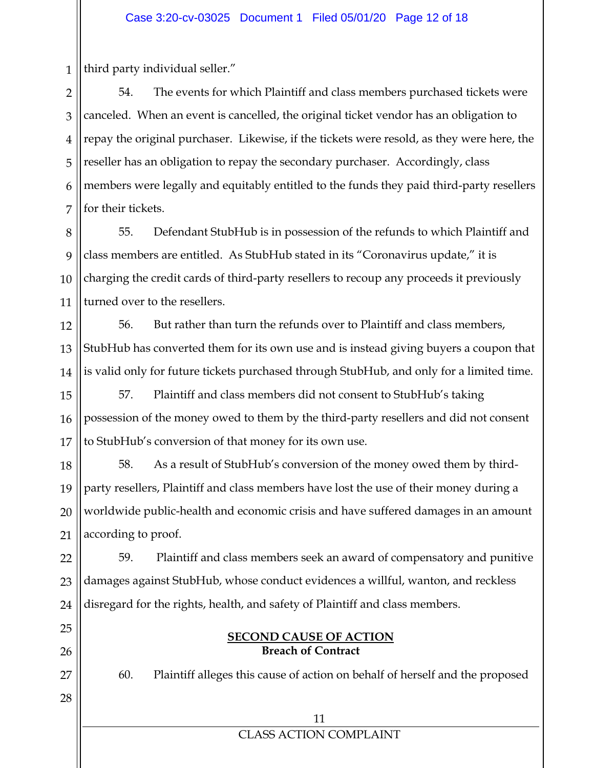1 third party individual seller."

25

26

27

28

2 3 4 5 6 7 54. The events for which Plaintiff and class members purchased tickets were canceled. When an event is cancelled, the original ticket vendor has an obligation to repay the original purchaser. Likewise, if the tickets were resold, as they were here, the reseller has an obligation to repay the secondary purchaser. Accordingly, class members were legally and equitably entitled to the funds they paid third-party resellers for their tickets.

8 9 10 11 55. Defendant StubHub is in possession of the refunds to which Plaintiff and class members are entitled. As StubHub stated in its "Coronavirus update," it is charging the credit cards of third-party resellers to recoup any proceeds it previously turned over to the resellers.

12 13 14 56. But rather than turn the refunds over to Plaintiff and class members, StubHub has converted them for its own use and is instead giving buyers a coupon that is valid only for future tickets purchased through StubHub, and only for a limited time.

15 16 17 57. Plaintiff and class members did not consent to StubHub's taking possession of the money owed to them by the third-party resellers and did not consent to StubHub's conversion of that money for its own use.

18 19 20 21 58. As a result of StubHub's conversion of the money owed them by thirdparty resellers, Plaintiff and class members have lost the use of their money during a worldwide public-health and economic crisis and have suffered damages in an amount according to proof.

22 23 24 59. Plaintiff and class members seek an award of compensatory and punitive damages against StubHub, whose conduct evidences a willful, wanton, and reckless disregard for the rights, health, and safety of Plaintiff and class members.

#### **SECOND CAUSE OF ACTION Breach of Contract**

60. Plaintiff alleges this cause of action on behalf of herself and the proposed

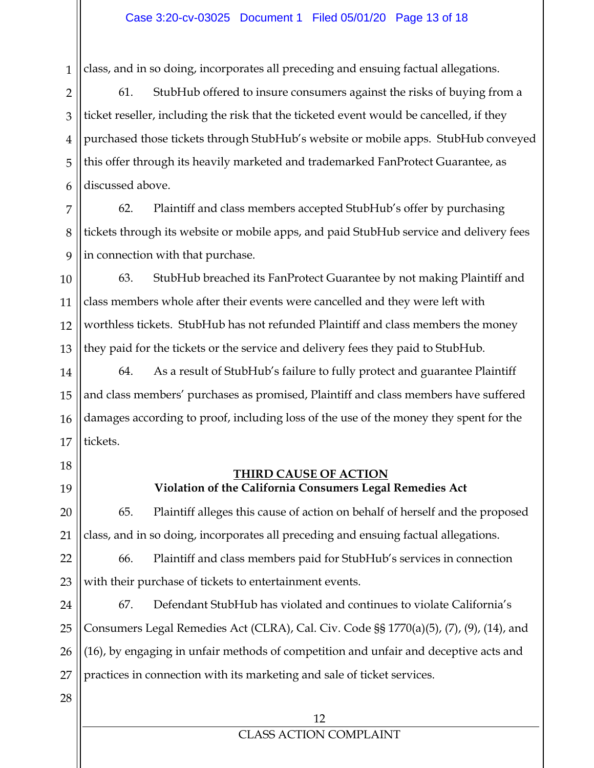1 class, and in so doing, incorporates all preceding and ensuing factual allegations.

2 3 4 5 6 61. StubHub offered to insure consumers against the risks of buying from a ticket reseller, including the risk that the ticketed event would be cancelled, if they purchased those tickets through StubHub's website or mobile apps. StubHub conveyed this offer through its heavily marketed and trademarked FanProtect Guarantee, as discussed above.

7 8 9 62. Plaintiff and class members accepted StubHub's offer by purchasing tickets through its website or mobile apps, and paid StubHub service and delivery fees in connection with that purchase.

10 11 12 13 63. StubHub breached its FanProtect Guarantee by not making Plaintiff and class members whole after their events were cancelled and they were left with worthless tickets. StubHub has not refunded Plaintiff and class members the money they paid for the tickets or the service and delivery fees they paid to StubHub.

14 15 16 17 64. As a result of StubHub's failure to fully protect and guarantee Plaintiff and class members' purchases as promised, Plaintiff and class members have suffered damages according to proof, including loss of the use of the money they spent for the tickets.

- 18
- 19

20

21

#### **THIRD CAUSE OF ACTION Violation of the California Consumers Legal Remedies Act**

65. Plaintiff alleges this cause of action on behalf of herself and the proposed class, and in so doing, incorporates all preceding and ensuing factual allegations.

22 23 66. Plaintiff and class members paid for StubHub's services in connection with their purchase of tickets to entertainment events.

24 25 26 27 67. Defendant StubHub has violated and continues to violate California's Consumers Legal Remedies Act (CLRA), Cal. Civ. Code §§ 1770(a)(5), (7), (9), (14), and (16), by engaging in unfair methods of competition and unfair and deceptive acts and practices in connection with its marketing and sale of ticket services.

28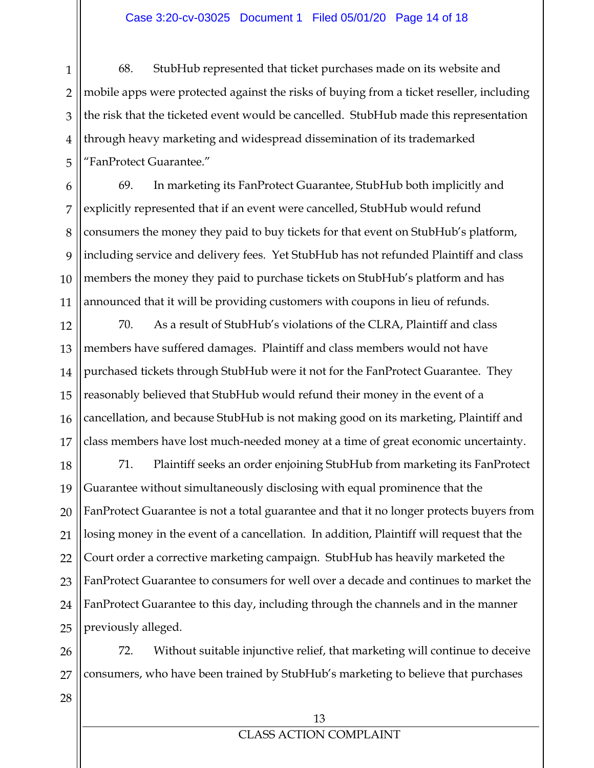1 2 3 4 5 68. StubHub represented that ticket purchases made on its website and mobile apps were protected against the risks of buying from a ticket reseller, including the risk that the ticketed event would be cancelled. StubHub made this representation through heavy marketing and widespread dissemination of its trademarked "FanProtect Guarantee."

6 7 8 9 10 11 69. In marketing its FanProtect Guarantee, StubHub both implicitly and explicitly represented that if an event were cancelled, StubHub would refund consumers the money they paid to buy tickets for that event on StubHub's platform, including service and delivery fees. Yet StubHub has not refunded Plaintiff and class members the money they paid to purchase tickets on StubHub's platform and has announced that it will be providing customers with coupons in lieu of refunds.

12 13 14 15 16 17 70. As a result of StubHub's violations of the CLRA, Plaintiff and class members have suffered damages. Plaintiff and class members would not have purchased tickets through StubHub were it not for the FanProtect Guarantee. They reasonably believed that StubHub would refund their money in the event of a cancellation, and because StubHub is not making good on its marketing, Plaintiff and class members have lost much-needed money at a time of great economic uncertainty.

18 19 20 21 22 23 24 25 71. Plaintiff seeks an order enjoining StubHub from marketing its FanProtect Guarantee without simultaneously disclosing with equal prominence that the FanProtect Guarantee is not a total guarantee and that it no longer protects buyers from losing money in the event of a cancellation. In addition, Plaintiff will request that the Court order a corrective marketing campaign. StubHub has heavily marketed the FanProtect Guarantee to consumers for well over a decade and continues to market the FanProtect Guarantee to this day, including through the channels and in the manner previously alleged.

26 27 72. Without suitable injunctive relief, that marketing will continue to deceive consumers, who have been trained by StubHub's marketing to believe that purchases

28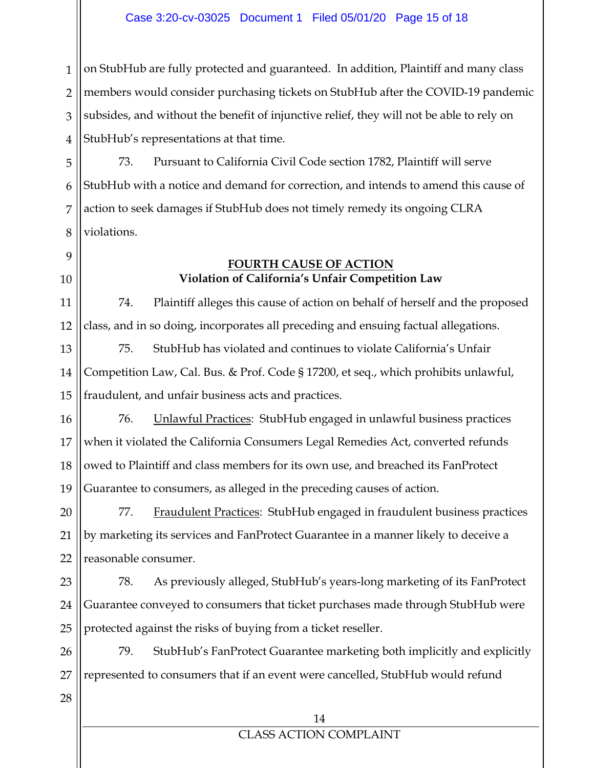1 2 3 4 on StubHub are fully protected and guaranteed. In addition, Plaintiff and many class members would consider purchasing tickets on StubHub after the COVID-19 pandemic subsides, and without the benefit of injunctive relief, they will not be able to rely on StubHub's representations at that time.

5 6 7 8 73. Pursuant to California Civil Code section 1782, Plaintiff will serve StubHub with a notice and demand for correction, and intends to amend this cause of action to seek damages if StubHub does not timely remedy its ongoing CLRA violations.

## 9 10

#### **FOURTH CAUSE OF ACTION Violation of California's Unfair Competition Law**

11 12 74. Plaintiff alleges this cause of action on behalf of herself and the proposed class, and in so doing, incorporates all preceding and ensuing factual allegations.

13 14 15 75. StubHub has violated and continues to violate California's Unfair Competition Law, Cal. Bus. & Prof. Code § 17200, et seq., which prohibits unlawful, fraudulent, and unfair business acts and practices.

16 17 18 19 76. Unlawful Practices: StubHub engaged in unlawful business practices when it violated the California Consumers Legal Remedies Act, converted refunds owed to Plaintiff and class members for its own use, and breached its FanProtect Guarantee to consumers, as alleged in the preceding causes of action.

20 21 22 77. Fraudulent Practices: StubHub engaged in fraudulent business practices by marketing its services and FanProtect Guarantee in a manner likely to deceive a reasonable consumer.

23 24 25 78. As previously alleged, StubHub's years-long marketing of its FanProtect Guarantee conveyed to consumers that ticket purchases made through StubHub were protected against the risks of buying from a ticket reseller.

26 27 79. StubHub's FanProtect Guarantee marketing both implicitly and explicitly represented to consumers that if an event were cancelled, StubHub would refund

28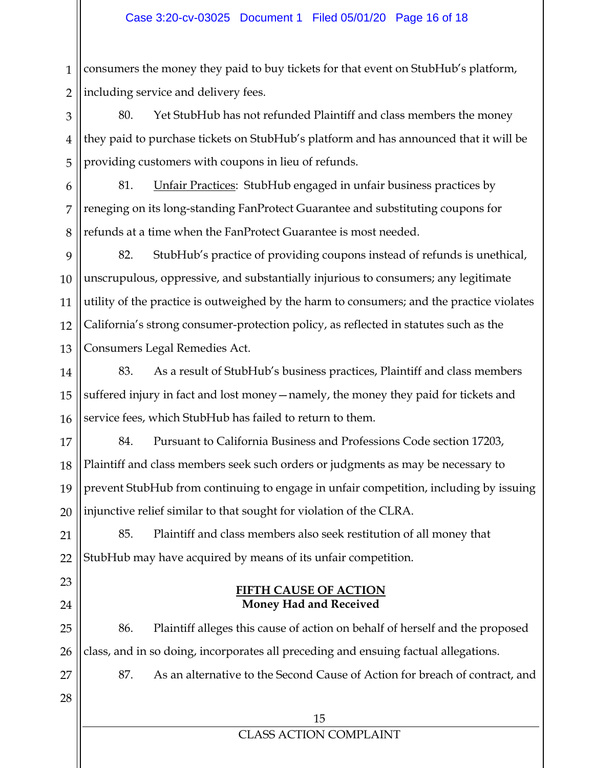1 2 consumers the money they paid to buy tickets for that event on StubHub's platform, including service and delivery fees.

3 4 5 80. Yet StubHub has not refunded Plaintiff and class members the money they paid to purchase tickets on StubHub's platform and has announced that it will be providing customers with coupons in lieu of refunds.

6 7 8 81. **Unfair Practices: StubHub engaged in unfair business practices by** reneging on its long-standing FanProtect Guarantee and substituting coupons for refunds at a time when the FanProtect Guarantee is most needed.

9 10 11 12 13 82. StubHub's practice of providing coupons instead of refunds is unethical, unscrupulous, oppressive, and substantially injurious to consumers; any legitimate utility of the practice is outweighed by the harm to consumers; and the practice violates California's strong consumer-protection policy, as reflected in statutes such as the Consumers Legal Remedies Act.

14 15 16 83. As a result of StubHub's business practices, Plaintiff and class members suffered injury in fact and lost money—namely, the money they paid for tickets and service fees, which StubHub has failed to return to them.

17 18 19 20 84. Pursuant to California Business and Professions Code section 17203, Plaintiff and class members seek such orders or judgments as may be necessary to prevent StubHub from continuing to engage in unfair competition, including by issuing injunctive relief similar to that sought for violation of the CLRA.

21 22 85. Plaintiff and class members also seek restitution of all money that StubHub may have acquired by means of its unfair competition.

## 23 24

## **Money Had and Received**

25 26 86. Plaintiff alleges this cause of action on behalf of herself and the proposed class, and in so doing, incorporates all preceding and ensuing factual allegations.

**FIFTH CAUSE OF ACTION** 

87. As an alternative to the Second Cause of Action for breach of contract, and

28

27

15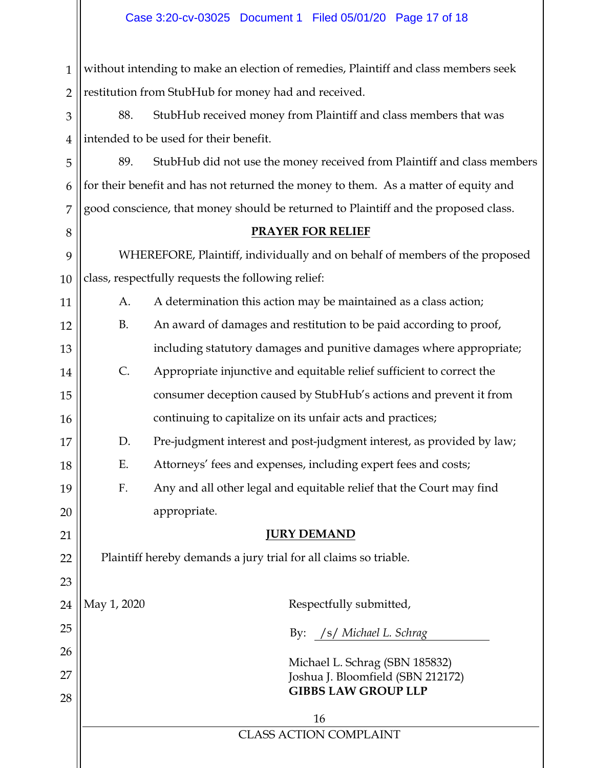1 2 without intending to make an election of remedies, Plaintiff and class members seek restitution from StubHub for money had and received.

3 4 88. StubHub received money from Plaintiff and class members that was intended to be used for their benefit.

5 6 7 89. StubHub did not use the money received from Plaintiff and class members for their benefit and has not returned the money to them. As a matter of equity and good conscience, that money should be returned to Plaintiff and the proposed class.

#### **PRAYER FOR RELIEF**

9 10 WHEREFORE, Plaintiff, individually and on behalf of members of the proposed class, respectfully requests the following relief:

A. A determination this action may be maintained as a class action;

8

11

12

13

14

15

16

17

18

19

20

21

22

23

- B. An award of damages and restitution to be paid according to proof, including statutory damages and punitive damages where appropriate;
- C. Appropriate injunctive and equitable relief sufficient to correct the consumer deception caused by StubHub's actions and prevent it from continuing to capitalize on its unfair acts and practices;
- D. Pre-judgment interest and post-judgment interest, as provided by law;
- E. Attorneys' fees and expenses, including expert fees and costs;
- F. Any and all other legal and equitable relief that the Court may find appropriate.

#### **JURY DEMAND**

Plaintiff hereby demands a jury trial for all claims so triable.

| 24 | May 1, 2020                   | Respectfully submitted,           |  |  |  |
|----|-------------------------------|-----------------------------------|--|--|--|
| 25 |                               | By: /s/ Michael L. Schrag         |  |  |  |
| 26 |                               | Michael L. Schrag (SBN 185832)    |  |  |  |
| 27 |                               | Joshua J. Bloomfield (SBN 212172) |  |  |  |
| 28 |                               | <b>GIBBS LAW GROUP LLP</b>        |  |  |  |
|    | 16                            |                                   |  |  |  |
|    | <b>CLASS ACTION COMPLAINT</b> |                                   |  |  |  |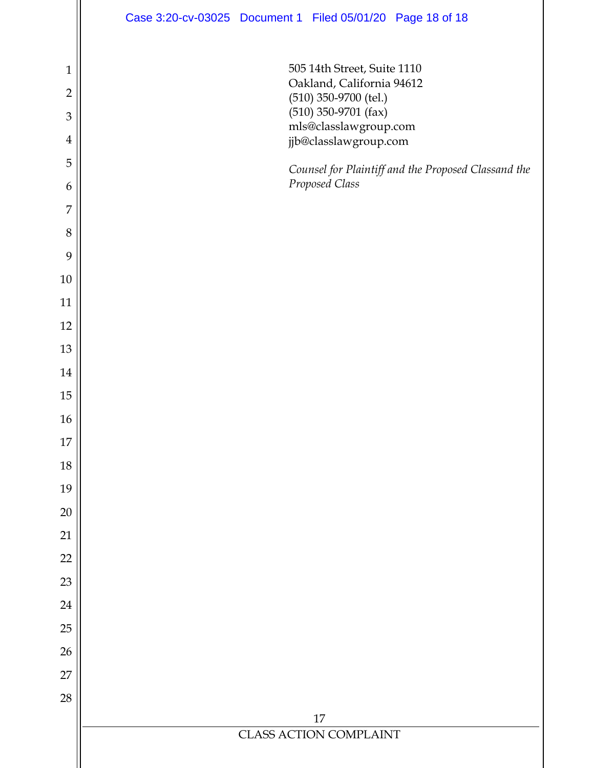|                | Case 3:20-cv-03025 Document 1 Filed 05/01/20 Page 18 of 18 |  |  |  |  |  |  |
|----------------|------------------------------------------------------------|--|--|--|--|--|--|
| $\mathbf{1}$   | 505 14th Street, Suite 1110                                |  |  |  |  |  |  |
| $\overline{2}$ | Oakland, California 94612                                  |  |  |  |  |  |  |
| $\mathfrak{Z}$ | $(510)$ 350-9700 (tel.)<br>$(510)$ 350-9701 (fax)          |  |  |  |  |  |  |
| $\overline{4}$ | $\rm mls@classlaw group.com$<br>jjb@classlawgroup.com      |  |  |  |  |  |  |
| 5              | Counsel for Plaintiff and the Proposed Classand the        |  |  |  |  |  |  |
| 6              | Proposed Class                                             |  |  |  |  |  |  |
| $\overline{7}$ |                                                            |  |  |  |  |  |  |
| $\,8\,$        |                                                            |  |  |  |  |  |  |
| 9              |                                                            |  |  |  |  |  |  |
| 10             |                                                            |  |  |  |  |  |  |
| 11             |                                                            |  |  |  |  |  |  |
| 12             |                                                            |  |  |  |  |  |  |
| 13             |                                                            |  |  |  |  |  |  |
| 14             |                                                            |  |  |  |  |  |  |
| $15\,$         |                                                            |  |  |  |  |  |  |
| 16             |                                                            |  |  |  |  |  |  |
| $17\,$         |                                                            |  |  |  |  |  |  |
| 18             |                                                            |  |  |  |  |  |  |
| 19             |                                                            |  |  |  |  |  |  |
| $20\,$         |                                                            |  |  |  |  |  |  |
| 21             |                                                            |  |  |  |  |  |  |
| 22             |                                                            |  |  |  |  |  |  |
| 23             |                                                            |  |  |  |  |  |  |
| 24             |                                                            |  |  |  |  |  |  |
| 25             |                                                            |  |  |  |  |  |  |
| 26             |                                                            |  |  |  |  |  |  |
| 27             |                                                            |  |  |  |  |  |  |
| 28             |                                                            |  |  |  |  |  |  |
|                | 17<br><b>CLASS ACTION COMPLAINT</b>                        |  |  |  |  |  |  |
|                |                                                            |  |  |  |  |  |  |